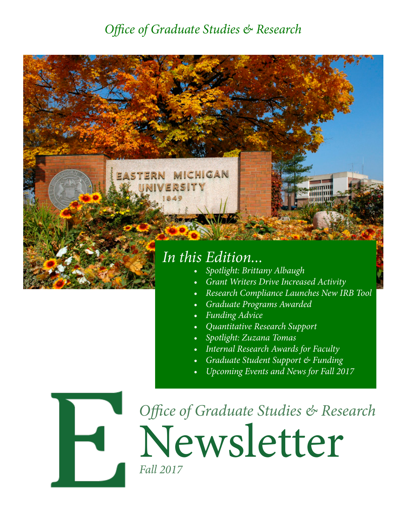### *Office of Graduate Studies & Research*



- *• Spotlight: Brittany Albaugh*
- *• Grant Writers Drive Increased Activity*
- *• Research Compliance Launches New IRB Tool*
- *• Graduate Programs Awarded*
- *• Funding Advice*
- *• Quantitative Research Support*
- *• Spotlight: Zuzana Tomas*
- *• Internal Research Awards for Faculty*
- *• Graduate Student Support & Funding*
- *• Upcoming Events and News for Fall 2017*



Newsletter *Office of Graduate Studies & Research Fall 2017*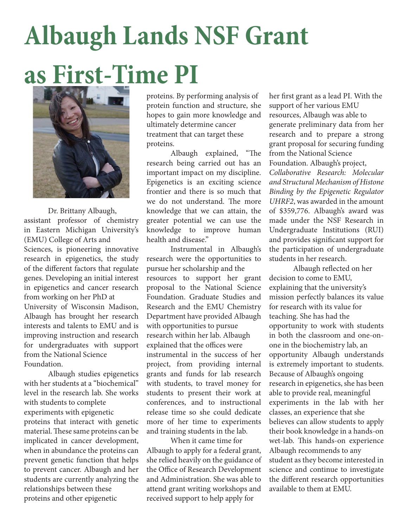# **Albaugh Lands NSF Grant as First-Time PI**



Dr. Brittany Albaugh, assistant professor of chemistry in Eastern Michigan University's (EMU) College of Arts and Sciences, is pioneering innovative research in epigenetics, the study of the different factors that regulate genes. Developing an initial interest in epigenetics and cancer research from working on her PhD at University of Wisconsin Madison, Albaugh has brought her research interests and talents to EMU and is improving instruction and research for undergraduates with support from the National Science Foundation.

Albaugh studies epigenetics with her students at a "biochemical" level in the research lab. She works with students to complete experiments with epigenetic proteins that interact with genetic material. These same proteins can be implicated in cancer development, when in abundance the proteins can prevent genetic function that helps to prevent cancer. Albaugh and her students are currently analyzing the relationships between these proteins and other epigenetic

proteins. By performing analysis of protein function and structure, she hopes to gain more knowledge and ultimately determine cancer treatment that can target these proteins.

Albaugh explained, "The research being carried out has an important impact on my discipline. Epigenetics is an exciting science frontier and there is so much that we do not understand. The more knowledge that we can attain, the greater potential we can use the knowledge to improve human health and disease."

Instrumental in Albaugh's research were the opportunities to pursue her scholarship and the resources to support her grant proposal to the National Science Foundation. Graduate Studies and Research and the EMU Chemistry Department have provided Albaugh with opportunities to pursue research within her lab. Albaugh explained that the offices were instrumental in the success of her project, from providing internal grants and funds for lab research with students, to travel money for students to present their work at conferences, and to instructional release time so she could dedicate more of her time to experiments and training students in the lab.

When it came time for Albaugh to apply for a federal grant, she relied heavily on the guidance of the Office of Research Development and Administration. She was able to attend grant writing workshops and received support to help apply for

her first grant as a lead PI. With the support of her various EMU resources, Albaugh was able to generate preliminary data from her research and to prepare a strong grant proposal for securing funding from the National Science Foundation. Albaugh's project, *Collaborative Research: Molecular and Structural Mechanism of Histone Binding by the Epigenetic Regulator UHRF2*, was awarded in the amount of \$359,776. Albaugh's award was made under the NSF Research in Undergraduate Institutions (RUI) and provides significant support for the participation of undergraduate students in her research.

Albaugh reflected on her decision to come to EMU, explaining that the university's mission perfectly balances its value for research with its value for teaching. She has had the opportunity to work with students in both the classroom and one-onone in the biochemistry lab, an opportunity Albaugh understands is extremely important to students. Because of Albaugh's ongoing research in epigenetics, she has been able to provide real, meaningful experiments in the lab with her classes, an experience that she believes can allow students to apply their book knowledge in a hands-on wet-lab. This hands-on experience Albaugh recommends to any student as they become interested in science and continue to investigate the different research opportunities available to them at EMU.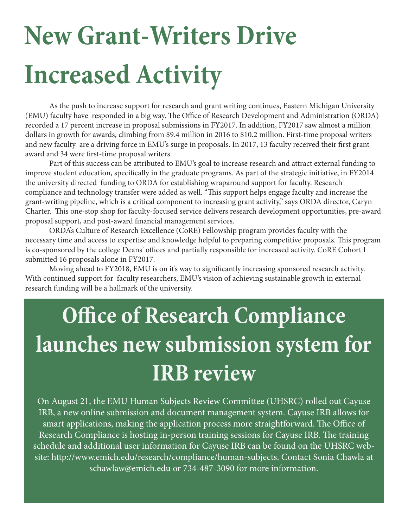# **New Grant-Writers Drive Increased Activity**

As the push to increase support for research and grant writing continues, Eastern Michigan University (EMU) faculty have responded in a big way. The Office of Research Development and Administration (ORDA) recorded a 17 percent increase in proposal submissions in FY2017. In addition, FY2017 saw almost a million dollars in growth for awards, climbing from \$9.4 million in 2016 to \$10.2 million. First-time proposal writers and new faculty are a driving force in EMU's surge in proposals. In 2017, 13 faculty received their first grant award and 34 were first-time proposal writers.

Part of this success can be attributed to EMU's goal to increase research and attract external funding to improve student education, specifically in the graduate programs. As part of the strategic initiative, in FY2014 the university directed funding to ORDA for establishing wraparound support for faculty. Research compliance and technology transfer were added as well. "This support helps engage faculty and increase the grant-writing pipeline, which is a critical component to increasing grant activity," says ORDA director, Caryn Charter. This one-stop shop for faculty-focused service delivers research development opportunities, pre-award proposal support, and post-award financial management services.

ORDA's Culture of Research Excellence (CoRE) Fellowship program provides faculty with the necessary time and access to expertise and knowledge helpful to preparing competitive proposals. This program is co-sponsored by the college Deans' offices and partially responsible for increased activity. CoRE Cohort I submitted 16 proposals alone in FY2017.

Moving ahead to FY2018, EMU is on it's way to significantly increasing sponsored research activity. With continued support for faculty researchers, EMU's vision of achieving sustainable growth in external research funding will be a hallmark of the university.

## **Office of Research Compliance launches new submission system for IRB review**

On August 21, the EMU Human Subjects Review Committee (UHSRC) rolled out Cayuse IRB, a new online submission and document management system. Cayuse IRB allows for smart applications, making the application process more straightforward. The Office of Research Compliance is hosting in-person training sessions for Cayuse IRB. The training schedule and additional user information for Cayuse IRB can be found on the UHSRC website: http://www.emich.edu/research/compliance/human-subjects. Contact Sonia Chawla at schawlaw@emich.edu or 734-487-3090 for more information.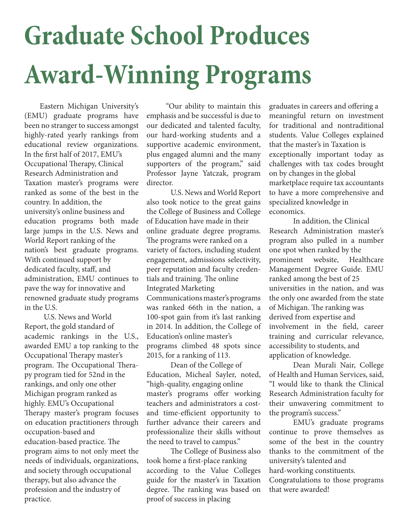# **Graduate School Produces Award-Winning Programs**

Eastern Michigan University's (EMU) graduate programs have been no stranger to success amongst highly-rated yearly rankings from educational review organizations. In the first half of 2017, EMU's Occupational Therapy, Clinical Research Administration and Taxation master's programs were ranked as some of the best in the country. In addition, the university's online business and education programs both made large jumps in the U.S. News and World Report ranking of the nation's best graduate programs. With continued support by dedicated faculty, staff, and administration, EMU continues to pave the way for innovative and renowned graduate study programs in the U.S.

U.S. News and World Report, the gold standard of academic rankings in the U.S., awarded EMU a top ranking to the Occupational Therapy master's program. The Occupational Therapy program tied for 52nd in the rankings, and only one other Michigan program ranked as highly. EMU's Occupational Therapy master's program focuses on education practitioners through occupation-based and education-based practice. The program aims to not only meet the needs of individuals, organizations, and society through occupational therapy, but also advance the profession and the industry of practice.

"Our ability to maintain this emphasis and be successful is due to our dedicated and talented faculty, our hard-working students and a supportive academic environment, plus engaged alumni and the many supporters of the program," said Professor Jayne Yatczak, program director.

U.S. News and World Report also took notice to the great gains the College of Business and College of Education have made in their online graduate degree programs. The programs were ranked on a variety of factors, including student engagement, admissions selectivity, peer reputation and faculty credentials and training. The online Integrated Marketing Communications master's programs was ranked 66th in the nation, a 100-spot gain from it's last ranking in 2014. In addition, the College of Education's online master's programs climbed 48 spots since 2015, for a ranking of 113.

Dean of the College of Education, Micheal Sayler, noted, "high-quality, engaging online master's programs offer working teachers and administrators a costand time-efficient opportunity to further advance their careers and professionalize their skills without the need to travel to campus."

The College of Business also took home a first-place ranking according to the Value Colleges guide for the master's in Taxation degree. The ranking was based on proof of success in placing

graduates in careers and offering a meaningful return on investment for traditional and nontraditional students. Value Colleges explained that the master's in Taxation is exceptionally important today as challenges with tax codes brought on by changes in the global marketplace require tax accountants to have a more comprehensive and specialized knowledge in economics.

In addition, the Clinical Research Administration master's program also pulled in a number one spot when ranked by the prominent website, Healthcare Management Degree Guide. EMU ranked among the best of 25 universities in the nation, and was the only one awarded from the state of Michigan. The ranking was derived from expertise and involvement in the field, career training and curricular relevance, accessibility to students, and application of knowledge.

Dean Murali Nair, College of Health and Human Services, said, "I would like to thank the Clinical Research Administration faculty for their unwavering commitment to the program's success."

EMU's graduate programs continue to prove themselves as some of the best in the country thanks to the commitment of the university's talented and hard-working constituents. Congratulations to those programs that were awarded!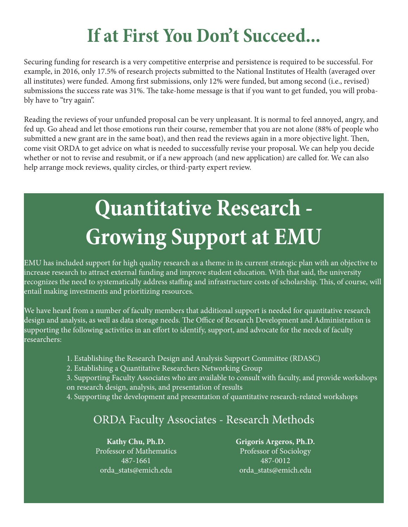### **If at First You Don't Succeed...**

Securing funding for research is a very competitive enterprise and persistence is required to be successful. For example, in 2016, only 17.5% of research projects submitted to the National Institutes of Health (averaged over all institutes) were funded. Among first submissions, only 12% were funded, but among second (i.e., revised) submissions the success rate was 31%. The take-home message is that if you want to get funded, you will probably have to "try again".

Reading the reviews of your unfunded proposal can be very unpleasant. It is normal to feel annoyed, angry, and fed up. Go ahead and let those emotions run their course, remember that you are not alone (88% of people who submitted a new grant are in the same boat), and then read the reviews again in a more objective light. Then, come visit ORDA to get advice on what is needed to successfully revise your proposal. We can help you decide whether or not to revise and resubmit, or if a new approach (and new application) are called for. We can also help arrange mock reviews, quality circles, or third-party expert review.

## **Quantitative Research - Growing Support at EMU**

EMU has included support for high quality research as a theme in its current strategic plan with an objective to increase research to attract external funding and improve student education. With that said, the university recognizes the need to systematically address staffing and infrastructure costs of scholarship. This, of course, will entail making investments and prioritizing resources.

We have heard from a number of faculty members that additional support is needed for quantitative research design and analysis, as well as data storage needs. The Office of Research Development and Administration is supporting the following activities in an effort to identify, support, and advocate for the needs of faculty researchers:

- 1. Establishing the Research Design and Analysis Support Committee (RDASC)
- 2. Establishing a Quantitative Researchers Networking Group

3. Supporting Faculty Associates who are available to consult with faculty, and provide workshops on research design, analysis, and presentation of results

4. Supporting the development and presentation of quantitative research-related workshops

### ORDA Faculty Associates - Research Methods

**Kathy Chu, Ph.D.**  Professor of Mathematics 487-1661 orda\_stats@emich.edu

**Grigoris Argeros, Ph.D.**

Professor of Sociology 487-0012 orda\_stats@emich.edu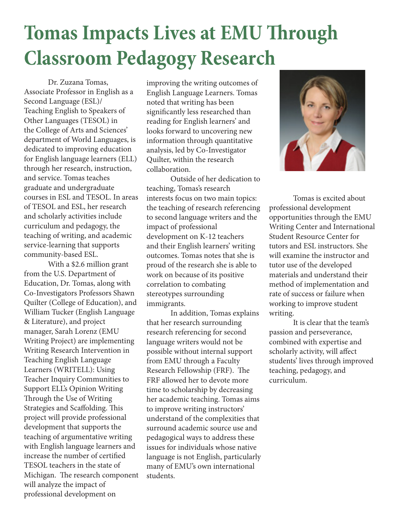### **Tomas Impacts Lives at EMU Through Classroom Pedagogy Research**

Dr. Zuzana Tomas, Associate Professor in English as a Second Language (ESL)/ Teaching English to Speakers of Other Languages (TESOL) in the College of Arts and Sciences' department of World Languages, is dedicated to improving education for English language learners (ELL) through her research, instruction, and service. Tomas teaches graduate and undergraduate courses in ESL and TESOL. In areas of TESOL and ESL, her research and scholarly activities include curriculum and pedagogy, the teaching of writing, and academic service-learning that supports community-based ESL.

With a \$2.6 million grant from the U.S. Department of Education, Dr. Tomas, along with Co-Investigators Professors Shawn Quilter (College of Education), and William Tucker (English Language & Literature), and project manager, Sarah Lorenz (EMU Writing Project) are implementing Writing Research Intervention in Teaching English Language Learners (WRITELL): Using Teacher Inquiry Communities to Support ELL's Opinion Writing Through the Use of Writing Strategies and Scaffolding. This project will provide professional development that supports the teaching of argumentative writing with English language learners and increase the number of certified TESOL teachers in the state of Michigan. The research component will analyze the impact of professional development on

improving the writing outcomes of English Language Learners. Tomas noted that writing has been significantly less researched than reading for English learners' and looks forward to uncovering new information through quantitative analysis, led by Co-Investigator Quilter, within the research collaboration.

Outside of her dedication to teaching, Tomas's research interests focus on two main topics: the teaching of research referencing to second language writers and the impact of professional development on K-12 teachers and their English learners' writing outcomes. Tomas notes that she is proud of the research she is able to work on because of its positive correlation to combating stereotypes surrounding immigrants.

In addition, Tomas explains that her research surrounding research referencing for second language writers would not be possible without internal support from EMU through a Faculty Research Fellowship (FRF). The FRF allowed her to devote more time to scholarship by decreasing her academic teaching. Tomas aims to improve writing instructors' understand of the complexities that surround academic source use and pedagogical ways to address these issues for individuals whose native language is not English, particularly many of EMU's own international students.



Tomas is excited about professional development opportunities through the EMU Writing Center and International Student Resource Center for tutors and ESL instructors. She will examine the instructor and tutor use of the developed materials and understand their method of implementation and rate of success or failure when working to improve student writing.

It is clear that the team's passion and perseverance, combined with expertise and scholarly activity, will affect students' lives through improved teaching, pedagogy, and curriculum.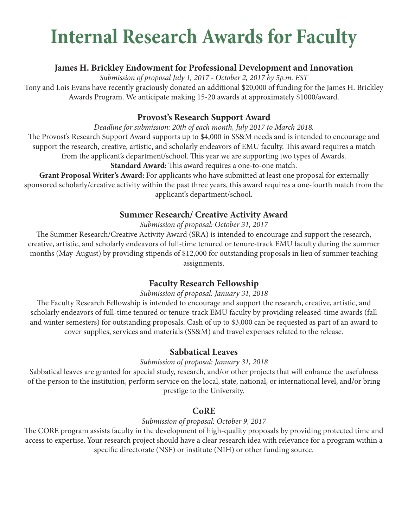### **Internal Research Awards for Faculty**

### **James H. Brickley Endowment for Professional Development and Innovation**

*Submission of proposal July 1, 2017 - October 2, 2017 by 5p.m. EST*

Tony and Lois Evans have recently graciously donated an additional \$20,000 of funding for the James H. Brickley Awards Program. We anticipate making 15-20 awards at approximately \$1000/award.

### **Provost's Research Support Award**

*Deadline for submission: 20th of each month, July 2017 to March 2018.*

The Provost's Research Support Award supports up to \$4,000 in SS&M needs and is intended to encourage and support the research, creative, artistic, and scholarly endeavors of EMU faculty. This award requires a match from the applicant's department/school. This year we are supporting two types of Awards.

**Standard Award:** This award requires a one-to-one match.

**Grant Proposal Writer's Award:** For applicants who have submitted at least one proposal for externally sponsored scholarly/creative activity within the past three years, this award requires a one-fourth match from the applicant's department/school.

### **Summer Research/ Creative Activity Award**

*Submission of proposal: October 31, 2017*

The Summer Research/Creative Activity Award (SRA) is intended to encourage and support the research, creative, artistic, and scholarly endeavors of full-time tenured or tenure-track EMU faculty during the summer months (May-August) by providing stipends of \$12,000 for outstanding proposals in lieu of summer teaching assignments.

### **Faculty Research Fellowship**

### *Submission of proposal: January 31, 2018*

The Faculty Research Fellowship is intended to encourage and support the research, creative, artistic, and scholarly endeavors of full-time tenured or tenure-track EMU faculty by providing released-time awards (fall and winter semesters) for outstanding proposals. Cash of up to \$3,000 can be requested as part of an award to cover supplies, services and materials (SS&M) and travel expenses related to the release.

### **Sabbatical Leaves**

### *Submission of proposal: January 31, 2018*

Sabbatical leaves are granted for special study, research, and/or other projects that will enhance the usefulness of the person to the institution, perform service on the local, state, national, or international level, and/or bring prestige to the University.

### **CoRE**

### *Submission of proposal: October 9, 2017*

The CORE program assists faculty in the development of high-quality proposals by providing protected time and access to expertise. Your research project should have a clear research idea with relevance for a program within a specific directorate (NSF) or institute (NIH) or other funding source.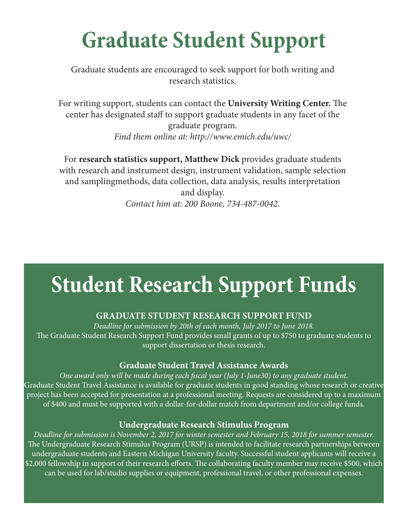## **Graduate Student Support**

Graduate students are encouraged to seek support for both writing and research statistics.

For writing support, students can contact the **University Writing Center.** The center has designated staff to support graduate students in any facet of the graduate program. *Find them online at: http://www.emich.edu/uwc/*

For **research statistics support, Matthew Dick** provides graduate students with research and instrument design, instrument validation, sample selection and samplingmethods, data collection, data analysis, results interpretation and display. *Contact him at: 200 Boone, 734-487-0042.*

### **Student Research Support Funds**

### **GRADUATE STUDENT RESEARCH SUPPORT FUND**

*Deadline for submission by 20th of each month, July 2017 to June 2018.* The Graduate Student Research Support Fund provides small grants of up to \$750 to graduate students to support dissertation or thesis research.

### **Graduate Student Travel Assistance Awards**

*One award only will be made during each fiscal year (July 1-June30) to any graduate student.* Graduate Student Travel Assistance is available for graduate students in good standing whose research or creative project has been accepted for presentation at a professional meeting. Requests are considered up to a maximum of \$400 and must be supported with a dollar-for-dollar match from department and/or college funds.

### **Undergraduate Research Stimulus Program**

*Deadline for submission is November 2, 2017 for winter semester and February 15, 2018 for summer semester.* The Undergraduate Research Stimulus Program (URSP) is intended to facilitate research partnerships between undergraduate students and Eastern Michigan University faculty. Successful student applicants will receive a \$2,000 fellowship in support of their research efforts. The collaborating faculty member may receive \$500, which can be used for lab/studio supplies or equipment, professional travel, or other professional expenses.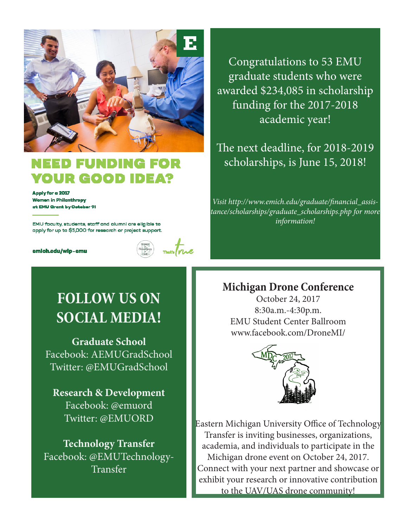

### NDING IR GOOD IDEAT

Apply for a 2017 **Women in Philanthropy** at EMU Grant by Ootober 91

EMU faculty, students, staff and alumni are eligible to apply for up to \$5,000 for research or project support.

emioh.edu/wip-emu



Congratulations to 53 EMU graduate students who were awarded \$234,085 in scholarship funding for the 2017-2018 academic year!

The next deadline, for 2018-2019 scholarships, is June 15, 2018!

*Visit http://www.emich.edu/graduate/financial\_assistance/scholarships/graduate\_scholarships.php for more information!*

### **Michigan Drone Conference**

October 24, 2017 8:30a.m.-4:30p.m. EMU Student Center Ballroom www.facebook.com/DroneMI/



Eastern Michigan University Office of Technology Transfer is inviting businesses, organizations, academia, and individuals to participate in the Michigan drone event on October 24, 2017. Connect with your next partner and showcase or exhibit your research or innovative contribution to the UAV/UAS drone community!

### **FOLLOW US ON SOCIAL MEDIA!**

**Graduate School** Facebook: AEMUGradSchool Twitter: @EMUGradSchool

**Research & Development** Facebook: @emuord Twitter: @EMUORD

**Technology Transfer** Facebook: @EMUTechnology-Transfer